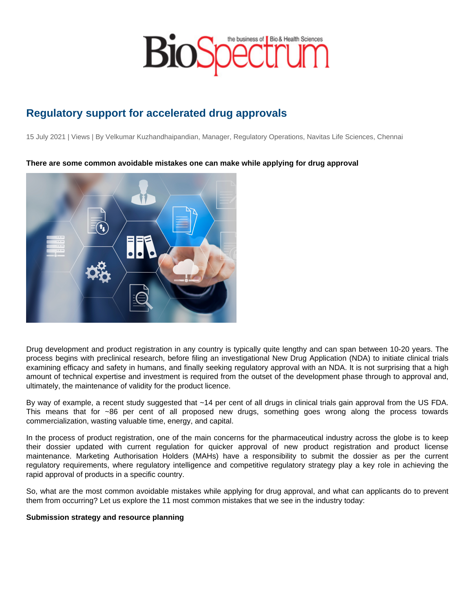# Regulatory support for accelerated drug approvals

15 July 2021 | Views | By Velkumar Kuzhandhaipandian, Manager, Regulatory Operations, Navitas Life Sciences, Chennai

There are some common avoidable mistakes one can make while applying for drug approval

Drug development and product registration in any country is typically quite lengthy and can span between 10-20 years. The process begins with preclinical research, before filing an investigational New Drug Application (NDA) to initiate clinical trials examining efficacy and safety in humans, and finally seeking regulatory approval with an NDA. It is not surprising that a high amount of technical expertise and investment is required from the outset of the development phase through to approval and, ultimately, the maintenance of validity for the product licence.

By way of example, a recent study suggested that ~14 per cent of all drugs in clinical trials gain approval from the US FDA. This means that for ~86 per cent of all proposed new drugs, something goes wrong along the process towards commercialization, wasting valuable time, energy, and capital.

In the process of product registration, one of the main concerns for the pharmaceutical industry across the globe is to keep their dossier updated with current regulation for quicker approval of new product registration and product license maintenance. Marketing Authorisation Holders (MAHs) have a responsibility to submit the dossier as per the current regulatory requirements, where regulatory intelligence and competitive regulatory strategy play a key role in achieving the rapid approval of products in a specific country.

So, what are the most common avoidable mistakes while applying for drug approval, and what can applicants do to prevent them from occurring? Let us explore the 11 most common mistakes that we see in the industry today:

Submission strategy and resource planning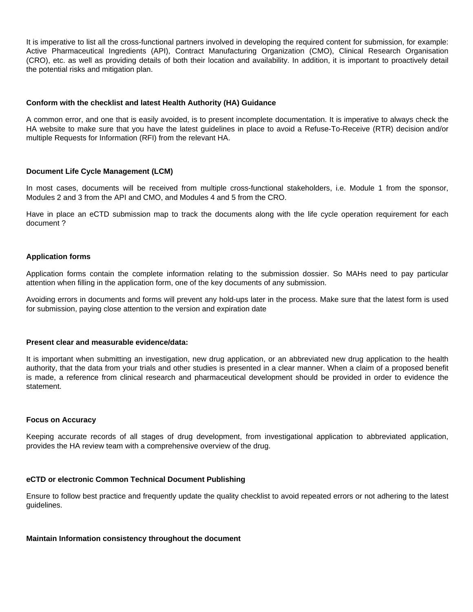It is imperative to list all the cross-functional partners involved in developing the required content for submission, for example: Active Pharmaceutical Ingredients (API), Contract Manufacturing Organization (CMO), Clinical Research Organisation (CRO), etc. as well as providing details of both their location and availability. In addition, it is important to proactively detail the potential risks and mitigation plan.

## **Conform with the checklist and latest Health Authority (HA) Guidance**

A common error, and one that is easily avoided, is to present incomplete documentation. It is imperative to always check the HA website to make sure that you have the latest guidelines in place to avoid a Refuse-To-Receive (RTR) decision and/or multiple Requests for Information (RFI) from the relevant HA.

# **Document Life Cycle Management (LCM)**

In most cases, documents will be received from multiple cross-functional stakeholders, i.e. Module 1 from the sponsor, Modules 2 and 3 from the API and CMO, and Modules 4 and 5 from the CRO.

Have in place an eCTD submission map to track the documents along with the life cycle operation requirement for each document ?

## **Application forms**

Application forms contain the complete information relating to the submission dossier. So MAHs need to pay particular attention when filling in the application form, one of the key documents of any submission.

Avoiding errors in documents and forms will prevent any hold-ups later in the process. Make sure that the latest form is used for submission, paying close attention to the version and expiration date

## **Present clear and measurable evidence/data:**

It is important when submitting an investigation, new drug application, or an abbreviated new drug application to the health authority, that the data from your trials and other studies is presented in a clear manner. When a claim of a proposed benefit is made, a reference from clinical research and pharmaceutical development should be provided in order to evidence the statement.

## **Focus on Accuracy**

Keeping accurate records of all stages of drug development, from investigational application to abbreviated application, provides the HA review team with a comprehensive overview of the drug.

# **eCTD or electronic Common Technical Document Publishing**

Ensure to follow best practice and frequently update the quality checklist to avoid repeated errors or not adhering to the latest guidelines.

## **Maintain Information consistency throughout the document**